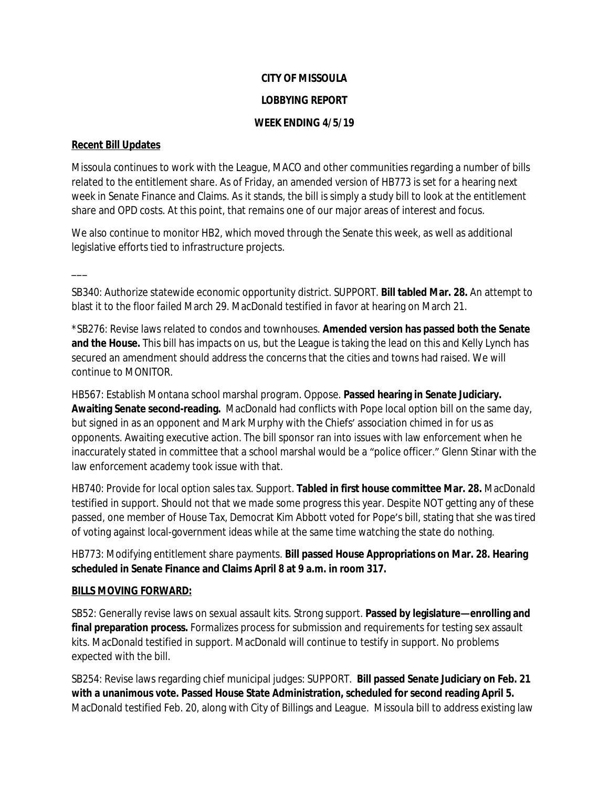# **CITY OF MISSOULA LOBBYING REPORT**

### **WEEK ENDING 4/5/19**

### **Recent Bill Updates**

Missoula continues to work with the League, MACO and other communities regarding a number of bills related to the entitlement share. As of Friday, an amended version of HB773 is set for a hearing next week in Senate Finance and Claims. As it stands, the bill is simply a study bill to look at the entitlement share and OPD costs. At this point, that remains one of our major areas of interest and focus.

We also continue to monitor HB2, which moved through the Senate this week, as well as additional legislative efforts tied to infrastructure projects.

 $\overline{\phantom{a}}$ 

SB340: Authorize statewide economic opportunity district. SUPPORT. **Bill tabled Mar. 28.** An attempt to blast it to the floor failed March 29. MacDonald testified in favor at hearing on March 21.

\*SB276: Revise laws related to condos and townhouses. **Amended version has passed both the Senate and the House.** This bill has impacts on us, but the League is taking the lead on this and Kelly Lynch has secured an amendment should address the concerns that the cities and towns had raised. We will continue to MONITOR.

HB567: Establish Montana school marshal program. Oppose. **Passed hearing in Senate Judiciary. Awaiting Senate second-reading.** MacDonald had conflicts with Pope local option bill on the same day, but signed in as an opponent and Mark Murphy with the Chiefs' association chimed in for us as opponents. Awaiting executive action. The bill sponsor ran into issues with law enforcement when he inaccurately stated in committee that a school marshal would be a "police officer." Glenn Stinar with the law enforcement academy took issue with that.

HB740: Provide for local option sales tax. Support. **Tabled in first house committee Mar. 28.** MacDonald testified in support. Should not that we made some progress this year. Despite NOT getting any of these passed, one member of House Tax, Democrat Kim Abbott voted for Pope's bill, stating that she was tired of voting against local-government ideas while at the same time watching the state do nothing.

# HB773: Modifying entitlement share payments. **Bill passed House Appropriations on Mar. 28. Hearing scheduled in Senate Finance and Claims April 8 at 9 a.m. in room 317.**

# **BILLS MOVING FORWARD:**

SB52: Generally revise laws on sexual assault kits. Strong support. **Passed by legislature—enrolling and final preparation process.** Formalizes process for submission and requirements for testing sex assault kits. MacDonald testified in support. MacDonald will continue to testify in support. No problems expected with the bill.

SB254: Revise laws regarding chief municipal judges: SUPPORT. **Bill passed Senate Judiciary on Feb. 21 with a unanimous vote. Passed House State Administration, scheduled for second reading April 5.** MacDonald testified Feb. 20, along with City of Billings and League. Missoula bill to address existing law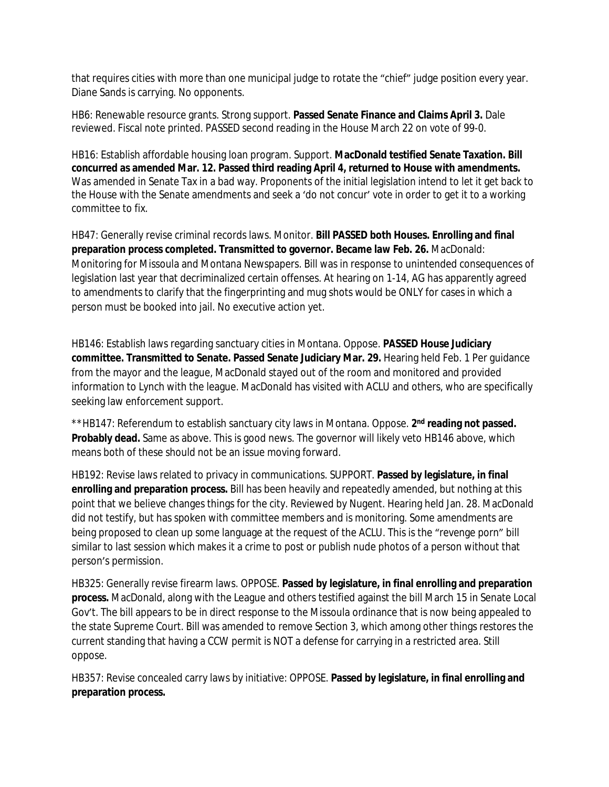that requires cities with more than one municipal judge to rotate the "chief" judge position every year. Diane Sands is carrying. No opponents.

HB6: Renewable resource grants. Strong support. **Passed Senate Finance and Claims April 3.** Dale reviewed. Fiscal note printed. PASSED second reading in the House March 22 on vote of 99-0.

HB16: Establish affordable housing loan program. Support. **MacDonald testified Senate Taxation. Bill concurred as amended Mar. 12. Passed third reading April 4, returned to House with amendments.** Was amended in Senate Tax in a bad way. Proponents of the initial legislation intend to let it get back to the House with the Senate amendments and seek a 'do not concur' vote in order to get it to a working committee to fix.

HB47: Generally revise criminal records laws. Monitor. **Bill PASSED both Houses. Enrolling and final preparation process completed. Transmitted to governor. Became law Feb. 26.** MacDonald: Monitoring for Missoula and Montana Newspapers. Bill was in response to unintended consequences of legislation last year that decriminalized certain offenses. At hearing on 1-14, AG has apparently agreed to amendments to clarify that the fingerprinting and mug shots would be ONLY for cases in which a person must be booked into jail. No executive action yet.

HB146: Establish laws regarding sanctuary cities in Montana. Oppose. **PASSED House Judiciary committee. Transmitted to Senate. Passed Senate Judiciary Mar. 29.** Hearing held Feb. 1 Per guidance from the mayor and the league, MacDonald stayed out of the room and monitored and provided information to Lynch with the league. MacDonald has visited with ACLU and others, who are specifically seeking law enforcement support.

\*\*HB147: Referendum to establish sanctuary city laws in Montana. Oppose. 2<sup>nd</sup> reading not passed. **Probably dead.** Same as above. This is good news. The governor will likely veto HB146 above, which means both of these should not be an issue moving forward.

HB192: Revise laws related to privacy in communications. SUPPORT. **Passed by legislature, in final enrolling and preparation process.** Bill has been heavily and repeatedly amended, but nothing at this point that we believe changes things for the city. Reviewed by Nugent. Hearing held Jan. 28. MacDonald did not testify, but has spoken with committee members and is monitoring. Some amendments are being proposed to clean up some language at the request of the ACLU. This is the "revenge porn" bill similar to last session which makes it a crime to post or publish nude photos of a person without that person's permission.

HB325: Generally revise firearm laws. OPPOSE. **Passed by legislature, in final enrolling and preparation process.** MacDonald, along with the League and others testified against the bill March 15 in Senate Local Gov't. The bill appears to be in direct response to the Missoula ordinance that is now being appealed to the state Supreme Court. Bill was amended to remove Section 3, which among other things restores the current standing that having a CCW permit is NOT a defense for carrying in a restricted area. Still oppose.

HB357: Revise concealed carry laws by initiative: OPPOSE. **Passed by legislature, in final enrolling and preparation process.**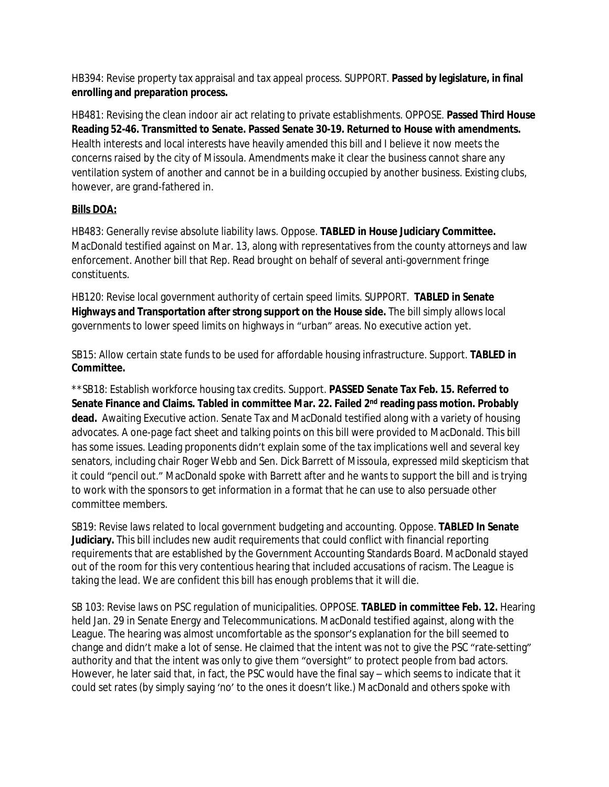HB394: Revise property tax appraisal and tax appeal process. SUPPORT. **Passed by legislature, in final enrolling and preparation process.**

HB481: Revising the clean indoor air act relating to private establishments. OPPOSE. **Passed Third House Reading 52-46. Transmitted to Senate. Passed Senate 30-19. Returned to House with amendments.**  Health interests and local interests have heavily amended this bill and I believe it now meets the concerns raised by the city of Missoula. Amendments make it clear the business cannot share any ventilation system of another and cannot be in a building occupied by another business. Existing clubs, however, are grand-fathered in.

# **Bills DOA:**

HB483: Generally revise absolute liability laws. Oppose. **TABLED in House Judiciary Committee.**  MacDonald testified against on Mar. 13, along with representatives from the county attorneys and law enforcement. Another bill that Rep. Read brought on behalf of several anti-government fringe constituents.

HB120: Revise local government authority of certain speed limits. SUPPORT. **TABLED in Senate Highways and Transportation after strong support on the House side.** The bill simply allows local governments to lower speed limits on highways in "urban" areas. No executive action yet.

SB15: Allow certain state funds to be used for affordable housing infrastructure. Support. **TABLED in Committee.**

\*\*SB18: Establish workforce housing tax credits. Support. **PASSED Senate Tax Feb. 15. Referred to Senate Finance and Claims. Tabled in committee Mar. 22. Failed 2nd reading pass motion. Probably dead.** Awaiting Executive action. Senate Tax and MacDonald testified along with a variety of housing advocates. A one-page fact sheet and talking points on this bill were provided to MacDonald. This bill has some issues. Leading proponents didn't explain some of the tax implications well and several key senators, including chair Roger Webb and Sen. Dick Barrett of Missoula, expressed mild skepticism that it could "pencil out." MacDonald spoke with Barrett after and he wants to support the bill and is trying to work with the sponsors to get information in a format that he can use to also persuade other committee members.

SB19: Revise laws related to local government budgeting and accounting. Oppose. **TABLED In Senate Judiciary.** This bill includes new audit requirements that could conflict with financial reporting requirements that are established by the Government Accounting Standards Board. MacDonald stayed out of the room for this very contentious hearing that included accusations of racism. The League is taking the lead. We are confident this bill has enough problems that it will die.

SB 103: Revise laws on PSC regulation of municipalities. OPPOSE. **TABLED in committee Feb. 12.** Hearing held Jan. 29 in Senate Energy and Telecommunications. MacDonald testified against, along with the League. The hearing was almost uncomfortable as the sponsor's explanation for the bill seemed to change and didn't make a lot of sense. He claimed that the intent was not to give the PSC "rate-setting" authority and that the intent was only to give them "oversight" to protect people from bad actors. However, he later said that, in fact, the PSC would have the final say – which seems to indicate that it could set rates (by simply saying 'no' to the ones it doesn't like.) MacDonald and others spoke with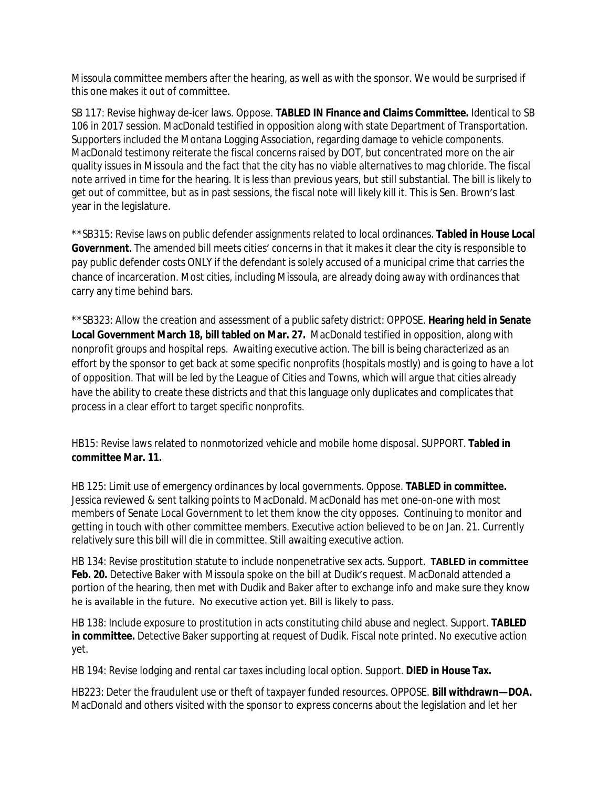Missoula committee members after the hearing, as well as with the sponsor. We would be surprised if this one makes it out of committee.

SB 117: Revise highway de-icer laws. Oppose. **TABLED IN Finance and Claims Committee.** Identical to SB 106 in 2017 session. MacDonald testified in opposition along with state Department of Transportation. Supporters included the Montana Logging Association, regarding damage to vehicle components. MacDonald testimony reiterate the fiscal concerns raised by DOT, but concentrated more on the air quality issues in Missoula and the fact that the city has no viable alternatives to mag chloride. The fiscal note arrived in time for the hearing. It is less than previous years, but still substantial. The bill is likely to get out of committee, but as in past sessions, the fiscal note will likely kill it. This is Sen. Brown's last year in the legislature.

\*\*SB315: Revise laws on public defender assignments related to local ordinances. **Tabled in House Local Government.** The amended bill meets cities' concerns in that it makes it clear the city is responsible to pay public defender costs ONLY if the defendant is solely accused of a municipal crime that carries the chance of incarceration. Most cities, including Missoula, are already doing away with ordinances that carry any time behind bars.

\*\*SB323: Allow the creation and assessment of a public safety district: OPPOSE. **Hearing held in Senate Local Government March 18, bill tabled on Mar. 27.** MacDonald testified in opposition, along with nonprofit groups and hospital reps. Awaiting executive action. The bill is being characterized as an effort by the sponsor to get back at some specific nonprofits (hospitals mostly) and is going to have a lot of opposition. That will be led by the League of Cities and Towns, which will argue that cities already have the ability to create these districts and that this language only duplicates and complicates that process in a clear effort to target specific nonprofits.

HB15: Revise laws related to nonmotorized vehicle and mobile home disposal. SUPPORT. **Tabled in committee Mar. 11.**

HB 125: Limit use of emergency ordinances by local governments. Oppose. **TABLED in committee.** Jessica reviewed & sent talking points to MacDonald. MacDonald has met one-on-one with most members of Senate Local Government to let them know the city opposes. Continuing to monitor and getting in touch with other committee members. Executive action believed to be on Jan. 21. Currently relatively sure this bill will die in committee. Still awaiting executive action.

HB 134: Revise prostitution statute to include nonpenetrative sex acts. Support. **TABLED in committee**  Feb. 20. Detective Baker with Missoula spoke on the bill at Dudik's request. MacDonald attended a portion of the hearing, then met with Dudik and Baker after to exchange info and make sure they know he is available in the future. No executive action yet. Bill is likely to pass.

HB 138: Include exposure to prostitution in acts constituting child abuse and neglect. Support. **TABLED in committee.** Detective Baker supporting at request of Dudik. Fiscal note printed. No executive action yet.

HB 194: Revise lodging and rental car taxes including local option. Support. **DIED in House Tax.**

HB223: Deter the fraudulent use or theft of taxpayer funded resources. OPPOSE. **Bill withdrawn—DOA.**  MacDonald and others visited with the sponsor to express concerns about the legislation and let her